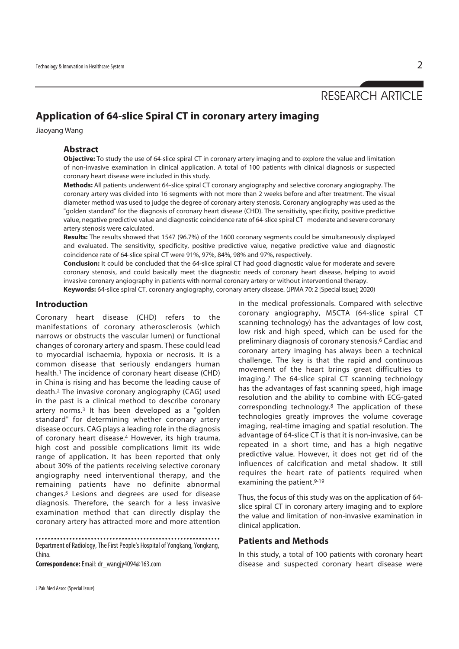# RESEARCH ARTICLE

# **Application of 64-slice Spiral CT in coronary artery imaging**

Jiaoyang Wang

#### **Abstract**

**Objective:** To study the use of 64-slice spiral CT in coronary artery imaging and to explore the value and limitation of non-invasive examination in clinical application. A total of 100 patients with clinical diagnosis or suspected coronary heart disease were included in this study.

**Methods:** All patients underwent 64-slice spiral CT coronary angiography and selective coronary angiography. The coronary artery was divided into 16 segments with not more than 2 weeks before and after treatment. The visual diameter method was used to judge the degree of coronary artery stenosis. Coronary angiography was used as the "golden standard" for the diagnosis of coronary heart disease (CHD). The sensitivity, specificity, positive predictive value, negative predictive value and diagnostic coincidence rate of 64-slice spiral CT moderate and severe coronary artery stenosis were calculated.

**Results:** The results showed that 1547 (96.7%) of the 1600 coronary segments could be simultaneously displayed and evaluated. The sensitivity, specificity, positive predictive value, negative predictive value and diagnostic coincidence rate of 64-slice spiral CT were 91%, 97%, 84%, 98% and 97%, respectively.

**Conclusion:** It could be concluded that the 64-slice spiral CT had good diagnostic value for moderate and severe coronary stenosis, and could basically meet the diagnostic needs of coronary heart disease, helping to avoid invasive coronary angiography in patients with normal coronary artery or without interventional therapy. **Keywords:** 64-slice spiral CT, coronary angiography, coronary artery disease. (JPMA 70: 2 [Special Issue]; 2020)

**Introduction** 

Coronary heart disease (CHD) refers to the manifestations of coronary atherosclerosis (which narrows or obstructs the vascular lumen) or functional changes of coronary artery and spasm. These could lead to myocardial ischaemia, hypoxia or necrosis. It is a common disease that seriously endangers human health.1 The incidence of coronary heart disease (CHD) in China is rising and has become the leading cause of death.2 The invasive coronary angiography (CAG) used in the past is a clinical method to describe coronary artery norms.3 It has been developed as a "golden standard" for determining whether coronary artery disease occurs. CAG plays a leading role in the diagnosis of coronary heart disease.4 However, its high trauma, high cost and possible complications limit its wide range of application. It has been reported that only about 30% of the patients receiving selective coronary angiography need interventional therapy, and the remaining patients have no definite abnormal changes.5 Lesions and degrees are used for disease diagnosis. Therefore, the search for a less invasive examination method that can directly display the coronary artery has attracted more and more attention

Department of Radiology, The First People's Hospital of Yongkang, Yongkang, China.

**Correspondence:** Email: dr\_wangjy4094@163.com

J Pak Med Assoc (Special Issue)

in the medical professionals. Compared with selective coronary angiography, MSCTA (64-slice spiral CT scanning technology) has the advantages of low cost, low risk and high speed, which can be used for the preliminary diagnosis of coronary stenosis.<sup>6</sup> Cardiac and coronary artery imaging has always been a technical challenge. The key is that the rapid and continuous movement of the heart brings great difficulties to imaging.7 The 64-slice spiral CT scanning technology has the advantages of fast scanning speed, high image resolution and the ability to combine with ECG-gated corresponding technology.8 The application of these technologies greatly improves the volume coverage imaging, real-time imaging and spatial resolution. The advantage of 64-slice CT is that it is non-invasive, can be repeated in a short time, and has a high negative predictive value. However, it does not get rid of the influences of calcification and metal shadow. It still requires the heart rate of patients required when examining the patient.<sup>9-19</sup>

Thus, the focus of this study was on the application of 64 slice spiral CT in coronary artery imaging and to explore the value and limitation of non-invasive examination in clinical application.

## **Patients and Methods**

In this study, a total of 100 patients with coronary heart disease and suspected coronary heart disease were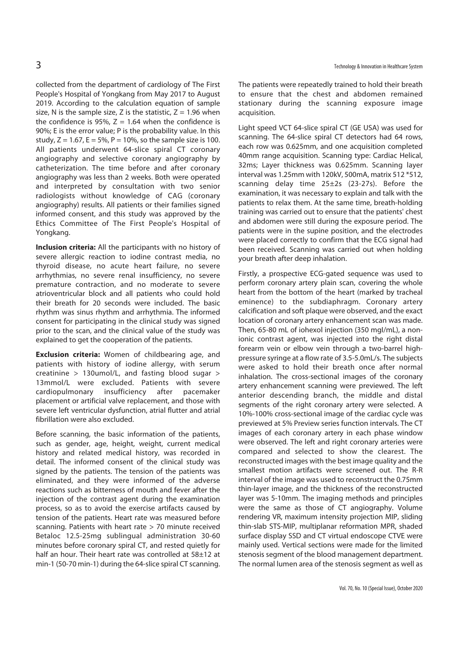collected from the department of cardiology of The First People's Hospital of Yongkang from May 2017 to August 2019. According to the calculation equation of sample size, N is the sample size, Z is the statistic,  $Z = 1.96$  when the confidence is 95%,  $Z = 1.64$  when the confidence is 90%; E is the error value; P is the probability value. In this study,  $Z = 1.67$ ,  $E = 5\%$ ,  $P = 10\%$ , so the sample size is 100. All patients underwent 64-slice spiral CT coronary angiography and selective coronary angiography by catheterization. The time before and after coronary angiography was less than 2 weeks. Both were operated and interpreted by consultation with two senior radiologists without knowledge of CAG (coronary angiography) results. All patients or their families signed informed consent, and this study was approved by the Ethics Committee of The First People's Hospital of Yongkang.

**Inclusion criteria:** All the participants with no history of severe allergic reaction to iodine contrast media, no thyroid disease, no acute heart failure, no severe arrhythmias, no severe renal insufficiency, no severe premature contraction, and no moderate to severe atrioventricular block and all patients who could hold their breath for 20 seconds were included. The basic rhythm was sinus rhythm and arrhythmia. The informed consent for participating in the clinical study was signed prior to the scan, and the clinical value of the study was explained to get the cooperation of the patients.

**Exclusion criteria:** Women of childbearing age, and patients with history of iodine allergy, with serum creatinine > 130umol/L, and fasting blood sugar > 13mmol/L were excluded. Patients with severe cardiopulmonary insufficiency after pacemaker placement or artificial valve replacement, and those with severe left ventricular dysfunction, atrial flutter and atrial fibrillation were also excluded.

Before scanning, the basic information of the patients, such as gender, age, height, weight, current medical history and related medical history, was recorded in detail. The informed consent of the clinical study was signed by the patients. The tension of the patients was eliminated, and they were informed of the adverse reactions such as bitterness of mouth and fever after the injection of the contrast agent during the examination process, so as to avoid the exercise artifacts caused by tension of the patients. Heart rate was measured before scanning. Patients with heart rate > 70 minute received Betaloc 12.5-25mg sublingual administration 30-60 minutes before coronary spiral CT, and rested quietly for half an hour. Their heart rate was controlled at 58±12 at min-1 (50-70 min-1) during the 64-slice spiral CT scanning. The patients were repeatedly trained to hold their breath to ensure that the chest and abdomen remained stationary during the scanning exposure image acquisition.

Light speed VCT 64-slice spiral CT (GE USA) was used for scanning. The 64-slice spiral CT detectors had 64 rows, each row was 0.625mm, and one acquisition completed 40mm range acquisition. Scanning type: Cardiac Helical, 32ms; Layer thickness was 0.625mm. Scanning layer interval was 1.25mm with 120kV, 500mA, matrix 512 \*512, scanning delay time 25±2s (23-27s). Before the examination, it was necessary to explain and talk with the patients to relax them. At the same time, breath-holding training was carried out to ensure that the patients' chest and abdomen were still during the exposure period. The patients were in the supine position, and the electrodes were placed correctly to confirm that the ECG signal had been received. Scanning was carried out when holding your breath after deep inhalation.

Firstly, a prospective ECG-gated sequence was used to perform coronary artery plain scan, covering the whole heart from the bottom of the heart (marked by tracheal eminence) to the subdiaphragm. Coronary artery calcification and soft plaque were observed, and the exact location of coronary artery enhancement scan was made. Then, 65-80 mL of iohexol injection (350 mgI/mL), a nonionic contrast agent, was injected into the right distal forearm vein or elbow vein through a two-barrel highpressure syringe at a flow rate of 3.5-5.0mL/s. The subjects were asked to hold their breath once after normal inhalation. The cross-sectional images of the coronary artery enhancement scanning were previewed. The left anterior descending branch, the middle and distal segments of the right coronary artery were selected. A 10%-100% cross-sectional image of the cardiac cycle was previewed at 5% Preview series function intervals. The CT images of each coronary artery in each phase window were observed. The left and right coronary arteries were compared and selected to show the clearest. The reconstructed images with the best image quality and the smallest motion artifacts were screened out. The R-R interval of the image was used to reconstruct the 0.75mm thin-layer image, and the thickness of the reconstructed layer was 5-10mm. The imaging methods and principles were the same as those of CT angiography. Volume rendering VR, maximum intensity projection MIP, sliding thin-slab STS-MIP, multiplanar reformation MPR, shaded surface display SSD and CT virtual endoscope CTVE were mainly used. Vertical sections were made for the limited stenosis segment of the blood management department. The normal lumen area of the stenosis segment as well as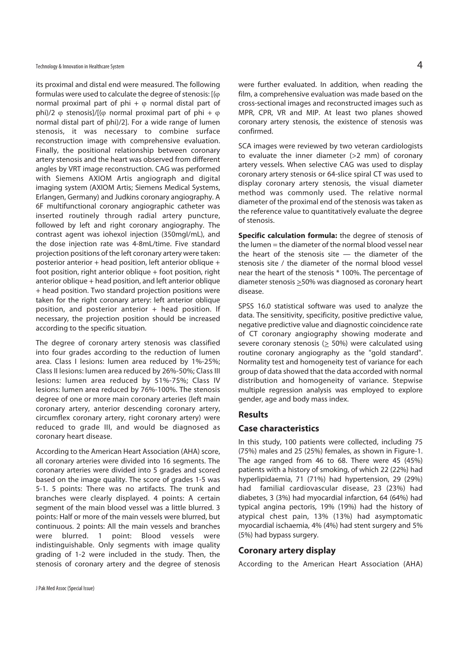its proximal and distal end were measured. The following formulas were used to calculate the degree of stenosis:  $[(\varphi$ normal proximal part of phi +  $\varphi$  normal distal part of phi)/2  $\varphi$  stenosis]/[( $\varphi$  normal proximal part of phi +  $\varphi$ normal distal part of phi)/2]. For a wide range of lumen stenosis, it was necessary to combine surface reconstruction image with comprehensive evaluation. Finally, the positional relationship between coronary artery stenosis and the heart was observed from different angles by VRT image reconstruction. CAG was performed with Siemens AXIOM Artis angiograph and digital imaging system (AXIOM Artis; Siemens Medical Systems, Erlangen, Germany) and Judkins coronary angiography. A 6F multifunctional coronary angiographic catheter was inserted routinely through radial artery puncture, followed by left and right coronary angiography. The contrast agent was iohexol injection (350mgI/mL), and the dose injection rate was 4-8mL/time. Five standard projection positions of the left coronary artery were taken: posterior anterior + head position, left anterior oblique + foot position, right anterior oblique + foot position, right anterior oblique + head position, and left anterior oblique + head position. Two standard projection positions were taken for the right coronary artery: left anterior oblique position, and posterior anterior  $+$  head position. If necessary, the projection position should be increased according to the specific situation.

The degree of coronary artery stenosis was classified into four grades according to the reduction of lumen area. Class I lesions: lumen area reduced by 1%-25%; Class II lesions: lumen area reduced by 26%-50%; Class III lesions: lumen area reduced by 51%-75%; Class IV lesions: lumen area reduced by 76%-100%. The stenosis degree of one or more main coronary arteries (left main coronary artery, anterior descending coronary artery, circumflex coronary artery, right coronary artery) were reduced to grade III, and would be diagnosed as coronary heart disease.

According to the American Heart Association (AHA) score, all coronary arteries were divided into 16 segments. The coronary arteries were divided into 5 grades and scored based on the image quality. The score of grades 1-5 was 5-1. 5 points: There was no artifacts. The trunk and branches were clearly displayed. 4 points: A certain segment of the main blood vessel was a little blurred. 3 points: Half or more of the main vessels were blurred, but continuous. 2 points: All the main vessels and branches were blurred. 1 point: Blood vessels were indistinguishable. Only segments with image quality grading of 1-2 were included in the study. Then, the stenosis of coronary artery and the degree of stenosis

were further evaluated. In addition, when reading the film, a comprehensive evaluation was made based on the cross-sectional images and reconstructed images such as MPR, CPR, VR and MIP. At least two planes showed coronary artery stenosis, the existence of stenosis was confirmed.

SCA images were reviewed by two veteran cardiologists to evaluate the inner diameter (>2 mm) of coronary artery vessels. When selective CAG was used to display coronary artery stenosis or 64-slice spiral CT was used to display coronary artery stenosis, the visual diameter method was commonly used. The relative normal diameter of the proximal end of the stenosis was taken as the reference value to quantitatively evaluate the degree of stenosis.

**Specific calculation formula:** the degree of stenosis of the lumen = the diameter of the normal blood vessel near the heart of the stenosis site — the diameter of the stenosis site / the diameter of the normal blood vessel near the heart of the stenosis \* 100%. The percentage of diameter stenosis >50% was diagnosed as coronary heart disease.

SPSS 16.0 statistical software was used to analyze the data. The sensitivity, specificity, positive predictive value, negative predictive value and diagnostic coincidence rate of CT coronary angiography showing moderate and severe coronary stenosis (> 50%) were calculated using routine coronary angiography as the "gold standard". Normality test and homogeneity test of variance for each group of data showed that the data accorded with normal distribution and homogeneity of variance. Stepwise multiple regression analysis was employed to explore gender, age and body mass index.

#### **Results**

#### **Case characteristics**

In this study, 100 patients were collected, including 75 (75%) males and 25 (25%) females, as shown in Figure-1. The age ranged from 46 to 68. There were 45 (45%) patients with a history of smoking, of which 22 (22%) had hyperlipidaemia, 71 (71%) had hypertension, 29 (29%) had familial cardiovascular disease, 23 (23%) had diabetes, 3 (3%) had myocardial infarction, 64 (64%) had typical angina pectoris, 19% (19%) had the history of atypical chest pain, 13% (13%) had asymptomatic myocardial ischaemia, 4% (4%) had stent surgery and 5% (5%) had bypass surgery.

#### **Coronary artery display**

According to the American Heart Association (AHA)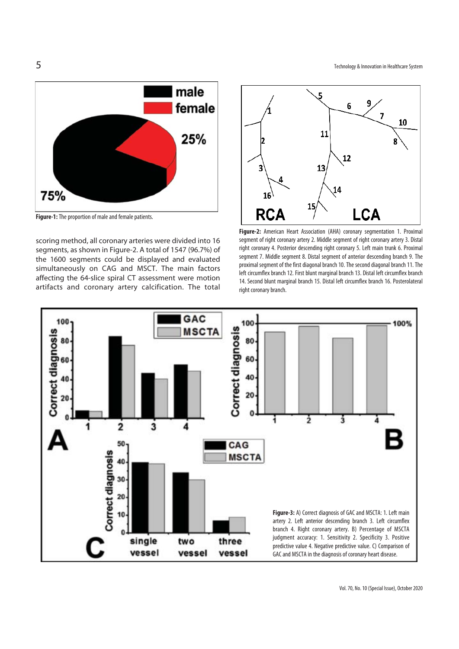

**Figure-1:** The proportion of male and female patients.

scoring method, all coronary arteries were divided into 16 segments, as shown in Figure-2. A total of 1547 (96.7%) of the 1600 segments could be displayed and evaluated simultaneously on CAG and MSCT. The main factors affecting the 64-slice spiral CT assessment were motion artifacts and coronary artery calcification. The total



**Figure-2:** American Heart Association (AHA) coronary segmentation 1. Proximal segment of right coronary artery 2. Middle segment of right coronary artery 3. Distal right coronary 4. Posterior descending right coronary 5. Left main trunk 6. Proximal segment 7. Middle segment 8. Distal segment of anterior descending branch 9. The proximal segment of the first diagonal branch 10. The second diagonal branch 11. The left circumflex branch 12. First blunt marginal branch 13. Distal left circumflex branch 14. Second blunt marginal branch 15. Distal left circumflex branch 16. Posterolateral right coronary branch.

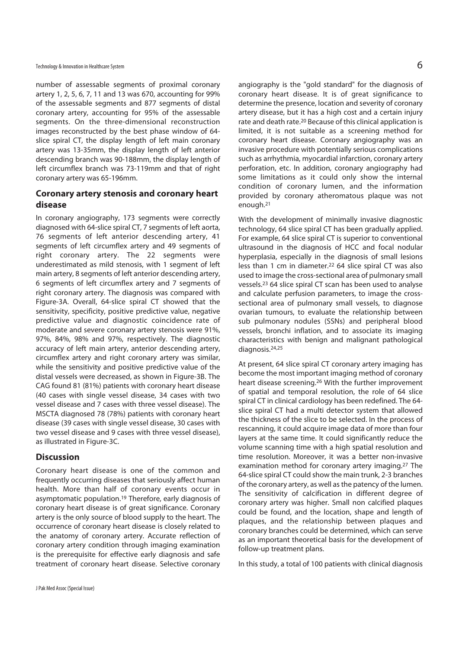number of assessable segments of proximal coronary artery 1, 2, 5, 6, 7, 11 and 13 was 670, accounting for 99% of the assessable segments and 877 segments of distal coronary artery, accounting for 95% of the assessable segments. On the three-dimensional reconstruction images reconstructed by the best phase window of 64 slice spiral CT, the display length of left main coronary artery was 13-35mm, the display length of left anterior descending branch was 90-188mm, the display length of left circumflex branch was 73-119mm and that of right coronary artery was 65-196mm.

# **Coronary artery stenosis and coronary heart disease**

In coronary angiography, 173 segments were correctly diagnosed with 64-slice spiral CT, 7 segments of left aorta, 76 segments of left anterior descending artery, 41 segments of left circumflex artery and 49 segments of right coronary artery. The 22 segments were underestimated as mild stenosis, with 1 segment of left main artery, 8 segments of left anterior descending artery, 6 segments of left circumflex artery and 7 segments of right coronary artery. The diagnosis was compared with Figure-3A. Overall, 64-slice spiral CT showed that the sensitivity, specificity, positive predictive value, negative predictive value and diagnostic coincidence rate of moderate and severe coronary artery stenosis were 91%, 97%, 84%, 98% and 97%, respectively. The diagnostic accuracy of left main artery, anterior descending artery, circumflex artery and right coronary artery was similar, while the sensitivity and positive predictive value of the distal vessels were decreased, as shown in Figure-3B. The CAG found 81 (81%) patients with coronary heart disease (40 cases with single vessel disease, 34 cases with two vessel disease and 7 cases with three vessel disease). The MSCTA diagnosed 78 (78%) patients with coronary heart disease (39 cases with single vessel disease, 30 cases with two vessel disease and 9 cases with three vessel disease), as illustrated in Figure-3C.

### **Discussion**

Coronary heart disease is one of the common and frequently occurring diseases that seriously affect human health. More than half of coronary events occur in asymptomatic population.19 Therefore, early diagnosis of coronary heart disease is of great significance. Coronary artery is the only source of blood supply to the heart. The occurrence of coronary heart disease is closely related to the anatomy of coronary artery. Accurate reflection of coronary artery condition through imaging examination is the prerequisite for effective early diagnosis and safe treatment of coronary heart disease. Selective coronary angiography is the "gold standard" for the diagnosis of coronary heart disease. It is of great significance to determine the presence, location and severity of coronary artery disease, but it has a high cost and a certain injury rate and death rate.20 Because of this clinical application is limited, it is not suitable as a screening method for coronary heart disease. Coronary angiography was an invasive procedure with potentially serious complications such as arrhythmia, myocardial infarction, coronary artery perforation, etc. In addition, coronary angiography had some limitations as it could only show the internal condition of coronary lumen, and the information provided by coronary atheromatous plaque was not enough.21

With the development of minimally invasive diagnostic technology, 64 slice spiral CT has been gradually applied. For example, 64 slice spiral CT is superior to conventional ultrasound in the diagnosis of HCC and focal nodular hyperplasia, especially in the diagnosis of small lesions less than 1 cm in diameter.22 64 slice spiral CT was also used to image the cross-sectional area of pulmonary small vessels.23 64 slice spiral CT scan has been used to analyse and calculate perfusion parameters, to image the crosssectional area of pulmonary small vessels, to diagnose ovarian tumours, to evaluate the relationship between sub pulmonary nodules (SSNs) and peripheral blood vessels, bronchi inflation, and to associate its imaging characteristics with benign and malignant pathological diagnosis.24,25

At present, 64 slice spiral CT coronary artery imaging has become the most important imaging method of coronary heart disease screening.26 With the further improvement of spatial and temporal resolution, the role of 64 slice spiral CT in clinical cardiology has been redefined. The 64 slice spiral CT had a multi detector system that allowed the thickness of the slice to be selected. In the process of rescanning, it could acquire image data of more than four layers at the same time. It could significantly reduce the volume scanning time with a high spatial resolution and time resolution. Moreover, it was a better non-invasive examination method for coronary artery imaging.27 The 64-slice spiral CT could show the main trunk, 2-3 branches of the coronary artery, as well as the patency of the lumen. The sensitivity of calcification in different degree of coronary artery was higher. Small non calcified plaques could be found, and the location, shape and length of plaques, and the relationship between plaques and coronary branches could be determined, which can serve as an important theoretical basis for the development of follow-up treatment plans.

In this study, a total of 100 patients with clinical diagnosis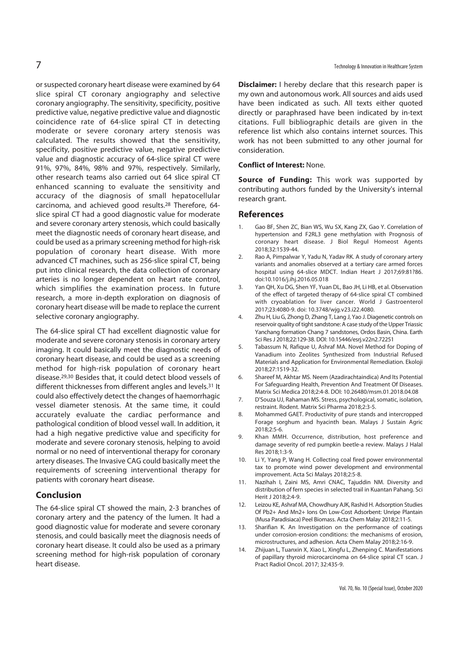or suspected coronary heart disease were examined by 64 slice spiral CT coronary angiography and selective coronary angiography. The sensitivity, specificity, positive predictive value, negative predictive value and diagnostic coincidence rate of 64-slice spiral CT in detecting moderate or severe coronary artery stenosis was calculated. The results showed that the sensitivity, specificity, positive predictive value, negative predictive value and diagnostic accuracy of 64-slice spiral CT were 91%, 97%, 84%, 98% and 97%, respectively. Similarly, other research teams also carried out 64 slice spiral CT enhanced scanning to evaluate the sensitivity and accuracy of the diagnosis of small hepatocellular carcinoma, and achieved good results.28 Therefore, 64 slice spiral CT had a good diagnostic value for moderate and severe coronary artery stenosis, which could basically meet the diagnostic needs of coronary heart disease, and could be used as a primary screening method for high-risk population of coronary heart disease. With more advanced CT machines, such as 256-slice spiral CT, being put into clinical research, the data collection of coronary arteries is no longer dependent on heart rate control, which simplifies the examination process. In future research, a more in-depth exploration on diagnosis of coronary heart disease will be made to replace the current selective coronary angiography.

The 64-slice spiral CT had excellent diagnostic value for moderate and severe coronary stenosis in coronary artery imaging. It could basically meet the diagnostic needs of coronary heart disease, and could be used as a screening method for high-risk population of coronary heart disease.29,30 Besides that, it could detect blood vessels of different thicknesses from different angles and levels.31 It could also effectively detect the changes of haemorrhagic vessel diameter stenosis. At the same time, it could accurately evaluate the cardiac performance and pathological condition of blood vessel wall. In addition, it had a high negative predictive value and specificity for moderate and severe coronary stenosis, helping to avoid normal or no need of interventional therapy for coronary artery diseases. The Invasive CAG could basically meet the requirements of screening interventional therapy for patients with coronary heart disease.

#### **Conclusion**

The 64-slice spiral CT showed the main, 2-3 branches of coronary artery and the patency of the lumen. It had a good diagnostic value for moderate and severe coronary stenosis, and could basically meet the diagnosis needs of coronary heart disease. It could also be used as a primary screening method for high-risk population of coronary heart disease.

**Disclaimer:** I hereby declare that this research paper is my own and autonomous work. All sources and aids used have been indicated as such. All texts either quoted directly or paraphrased have been indicated by in-text citations. Full bibliographic details are given in the reference list which also contains internet sources. This work has not been submitted to any other journal for consideration.

#### **Conflict of Interest:** None.

**Source of Funding:** This work was supported by contributing authors funded by the University's internal research grant.

#### **References**

- 1. Gao BF, Shen ZC, Bian WS, Wu SX, Kang ZX, Gao Y. Correlation of hypertension and F2RL3 gene methylation with Prognosis of coronary heart disease. J Biol Regul Homeost Agents 2018;32:1539-44.
- 2. Rao A, Pimpalwar Y, Yadu N, Yadav RK. A study of coronary artery variants and anomalies observed at a tertiary care armed forces hospital using 64-slice MDCT. Indian Heart J 2017;69:81?86. doi:10.1016/j.ihj.2016.05.018
- 3. Yan QH, Xu DG, Shen YF, Yuan DL, Bao JH, Li HB, et al. Observation of the effect of targeted therapy of 64-slice spiral CT combined with cryoablation for liver cancer. World J Gastroenterol 2017;23:4080-9. doi: 10.3748/wjg.v23.i22.4080.
- 4. Zhu H, Liu G, Zhong D, Zhang T, Lang J, Yao J. Diagenetic controls on reservoir quality of tight sandstone: A case study of the Upper Triassic Yanchang formation Chang 7 sandstones, Ordos Basin, China. Earth Sci Res J 2018;22:129-38. DOI: 10.15446/esrj.v22n2.72251
- 5. Tabassum N, Rafique U, Ashraf MA. Novel Method for Doping of Vanadium into Zeolites Synthesized from Industrial Refused Materials and Application for Environmental Remediation. Ekoloji 2018;27:1519-32.
- 6. Shareef M, Akhtar MS. Neem (Azadirachtaindica) And Its Potential For Safeguarding Health, Prevention And Treatment Of Diseases. Matrix Sci Medica 2018;2:4-8. DOI: 10.26480/msm.01.2018.04.08
- 7. D'Souza UJ, Rahaman MS. Stress, psychological, somatic, isolation, restraint. Rodent. Matrix Sci Pharma 2018;2:3-5.
- 8. Mohammed GAET. Productivity of pure stands and intercropped Forage sorghum and hyacinth bean. Malays J Sustain Agric  $2018:2:5-6$
- 9. Khan MMH. Occurrence, distribution, host preference and damage severity of red pumpkin beetle-a review. Malays J Halal Res 2018;1:3-9.
- 10. Li Y, Yang P, Wang H. Collecting coal fired power environmental tax to promote wind power development and environmental improvement. Acta Sci Malays 2018;2:5-8.
- 11. Nazihah I, Zaini MS, Amri CNAC, Tajuddin NM. Diversity and distribution of fern species in selected trail in Kuantan Pahang. Sci Herit J 2018;2:4-9.
- 12. Leizou KE, Ashraf MA, Chowdhury AJK, Rashid H. Adsorption Studies Of Pb2+ And Mn2+ Ions On Low-Cost Adsorbent: Unripe Plantain (Musa Paradisiaca) Peel Biomass. Acta Chem Malay 2018;2:11-5.
- 13. Sharifian K. An Investigation on the performance of coatings under corrosion-erosion conditions: the mechanisms of erosion, microstructures, and adhesion. Acta Chem Malay 2018;2:16-9.
- 14. Zhijuan L, Tuanxin X, Xiao L, Xingfu L, Zhenping C. Manifestations of papillary thyroid microcarcinoma on 64-slice spiral CT scan. J Pract Radiol Oncol. 2017; 32:435-9.